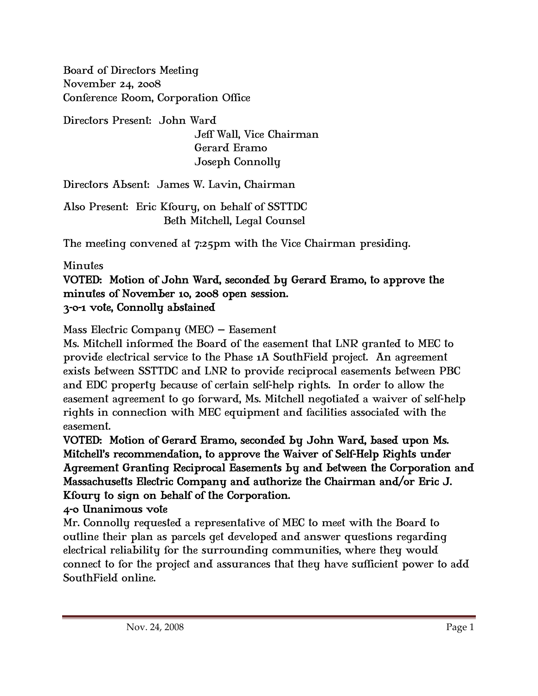Board of Directors Meeting November 24, 2008 Conference Room, Corporation Office

Directors Present: John Ward Jeff Wall, Vice Chairman Gerard Eramo Joseph Connolly

Directors Absent: James W. Lavin, Chairman

Also Present: Eric Kfoury, on behalf of SSTTDC Beth Mitchell, Legal Counsel

The meeting convened at 7:25pm with the Vice Chairman presiding.

## Minutes

## VOTED: Motion of John Ward, seconded by Gerard Eramo, to approve the minutes of November 10, 2008 open session. 3-0-1 vote, Connolly abstained

Mass Electric Company (MEC) – Easement

Ms. Mitchell informed the Board of the easement that LNR granted to MEC to provide electrical service to the Phase 1A SouthField project. An agreement exists between SSTTDC and LNR to provide reciprocal easements between PBC and EDC property because of certain self-help rights. In order to allow the easement agreement to go forward, Ms. Mitchell negotiated a waiver of self-help rights in connection with MEC equipment and facilities associated with the easement.

VOTED: Motion of Gerard Eramo, seconded by John Ward, based upon Ms. Mitchell's recommendation, to approve the Waiver of Self-Help Rights under Agreement Granting Reciprocal Easements by and between the Corporation and Massachusetts Electric Company and authorize the Chairman and/or Eric J. Kfoury to sign on behalf of the Corporation.

## 4-0 Unanimous vote

Mr. Connolly requested a representative of MEC to meet with the Board to outline their plan as parcels get developed and answer questions regarding electrical reliability for the surrounding communities, where they would connect to for the project and assurances that they have sufficient power to add SouthField online.